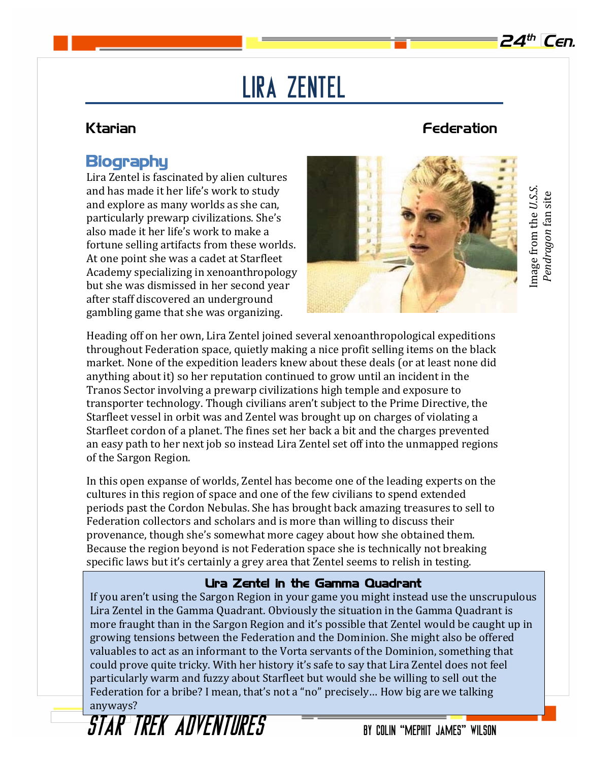# Lira Zentel

### Ktarian Federation

## **Biography**

Lira Zentel is fascinated by alien cultures and has made it her life's work to study and explore as many worlds as she can, particularly prewarp civilizations. She's also made it her life's work to make a fortune selling artifacts from these worlds. At one point she was a cadet at Starfleet Academy specializing in xenoanthropology but she was dismissed in her second year after staff discovered an underground gambling game that she was organizing.



Image from the *U.S.S.*  Image from the U.S.S. Pendragon fan site *Pendragon* fan site

Heading off on her own, Lira Zentel joined several xenoanthropological expeditions throughout Federation space, quietly making a nice profit selling items on the black market. None of the expedition leaders knew about these deals (or at least none did anything about it) so her reputation continued to grow until an incident in the Tranos Sector involving a prewarp civilizations high temple and exposure to transporter technology. Though civilians aren't subject to the Prime Directive, the Starfleet vessel in orbit was and Zentel was brought up on charges of violating a Starfleet cordon of a planet. The fines set her back a bit and the charges prevented an easy path to her next job so instead Lira Zentel set off into the unmapped regions of the Sargon Region.

In this open expanse of worlds, Zentel has become one of the leading experts on the cultures in this region of space and one of the few civilians to spend extended periods past the Cordon Nebulas. She has brought back amazing treasures to sell to Federation collectors and scholars and is more than willing to discuss their provenance, though she's somewhat more cagey about how she obtained them. Because the region beyond is not Federation space she is technically not breaking specific laws but it's certainly a grey area that Zentel seems to relish in testing.

## Lira Zentel in the Gamma Quadrant

If you aren't using the Sargon Region in your game you might instead use the unscrupulous Lira Zentel in the Gamma Quadrant. Obviously the situation in the Gamma Quadrant is more fraught than in the Sargon Region and it's possible that Zentel would be caught up in growing tensions between the Federation and the Dominion. She might also be offered valuables to act as an informant to the Vorta servants of the Dominion, something that could prove quite tricky. With her history it's safe to say that Lira Zentel does not feel particularly warm and fuzzy about Starfleet but would she be willing to sell out the Federation for a bribe? I mean, that's not a "no" precisely... How big are we talking anyways?